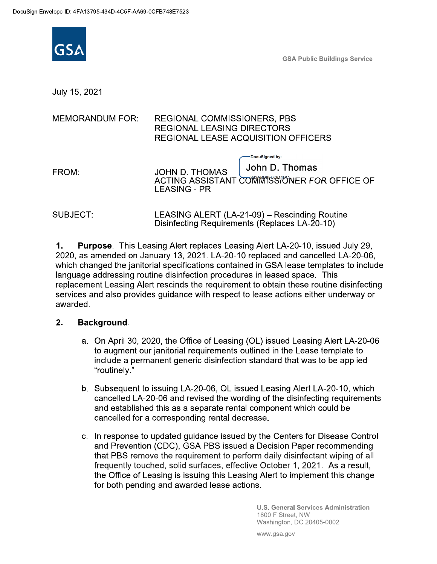

**GSA Public Buildings Service** 

July 15, 2021

| MEMORANDUM FOR: | REGIONAL COMMISSIONERS, PBS         |
|-----------------|-------------------------------------|
|                 | <b>REGIONAL LEASING DIRECTORS</b>   |
|                 | REGIONAL LEASE ACQUISITION OFFICERS |

| FROM: | <b>JOHN D. THOMAS</b> | John D. Thomas                                |
|-------|-----------------------|-----------------------------------------------|
|       | LEASING - PR          | ACTING ASSISTANT COMMOSS CONDER FOR OFFICE OF |

-DocuSianed by

SUBJECT: LEASING ALERT (LA-21-09) – Rescinding Routine Disinfecting Requirements (Replaces LA-20-10)

Purpose. This Leasing Alert replaces Leasing Alert LA-20-10, issued July 29,  $\mathbf 1$ . 2020, as amended on January 13, 2021. LA-20-10 replaced and cancelled LA-20-06, which changed the janitorial specifications contained in GSA lease templates to include language addressing routine disinfection procedures in leased space. This replacement Leasing Alert rescinds the requirement to obtain these routine disinfecting services and also provides quidance with respect to lease actions either underway or awarded.

## $2.$ Background.

- a. On April 30, 2020, the Office of Leasing (OL) issued Leasing Alert LA-20-06 to augment our janitorial requirements outlined in the Lease template to include a permanent generic disinfection standard that was to be applied "routinely."
- b. Subsequent to issuing LA-20-06, OL issued Leasing Alert LA-20-10, which cancelled LA-20-06 and revised the wording of the disinfecting requirements and established this as a separate rental component which could be cancelled for a corresponding rental decrease.
- c. In response to updated guidance issued by the Centers for Disease Control and Prevention (CDC), GSA PBS issued a Decision Paper recommending that PBS remove the requirement to perform daily disinfectant wiping of all frequently touched, solid surfaces, effective October 1, 2021. As a result, the Office of Leasing is issuing this Leasing Alert to implement this change for both pending and awarded lease actions.

**U.S. General Services Administration** 1800 F Street, NW Washington, DC 20405-0002

www.gsa.gov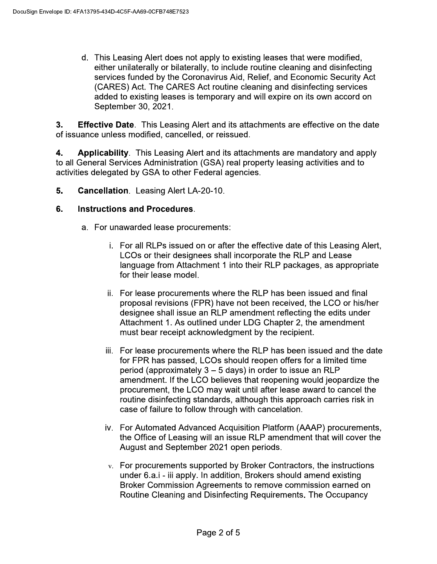d. This Leasing Alert does not apply to existing leases that were modified, either unilaterally or bilaterally, to include routine cleaning and disinfecting services funded by the Coronavirus Aid, Relief, and Economic Security Act (CARES) Act. The CARES Act routine cleaning and disinfecting services added to existing leases is temporary and will expire on its own accord on September 30, 2021.

 $3.$ **Effective Date.** This Leasing Alert and its attachments are effective on the date of issuance unless modified, cancelled, or reissued.

4. Applicability. This Leasing Alert and its attachments are mandatory and apply to all General Services Administration (GSA) real property leasing activities and to activities delegated by GSA to other Federal agencies.

5. **Cancellation.** Leasing Alert LA-20-10.

## 6. **Instructions and Procedures.**

- a. For unawarded lease procurements:
	- i. For all RLPs issued on or after the effective date of this Leasing Alert, LCOs or their designees shall incorporate the RLP and Lease language from Attachment 1 into their RLP packages, as appropriate for their lease model.
	- ii. For lease procurements where the RLP has been issued and final proposal revisions (FPR) have not been received, the LCO or his/her designee shall issue an RLP amendment reflecting the edits under Attachment 1. As outlined under LDG Chapter 2, the amendment must bear receipt acknowledgment by the recipient.
	- iii. For lease procurements where the RLP has been issued and the date for FPR has passed, LCOs should reopen offers for a limited time period (approximately  $3 - 5$  days) in order to issue an RLP amendment. If the LCO believes that reopening would jeopardize the procurement, the LCO may wait until after lease award to cancel the routine disinfecting standards, although this approach carries risk in case of failure to follow through with cancelation.
	- iv. For Automated Advanced Acquisition Platform (AAAP) procurements, the Office of Leasing will an issue RLP amendment that will cover the August and September 2021 open periods.
	- v. For procurements supported by Broker Contractors, the instructions under 6.a.i - iii apply. In addition, Brokers should amend existing Broker Commission Agreements to remove commission earned on Routine Cleaning and Disinfecting Requirements. The Occupancy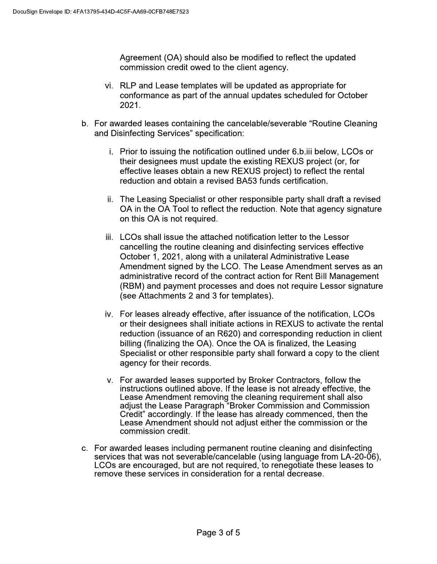Agreement (OA) should also be modified to reflect the updated commission credit owed to the client agency.

- vi. RLP and Lease templates will be updated as appropriate for conformance as part of the annual updates scheduled for October 2021.
- b. For awarded leases containing the cancelable/severable "Routine Cleaning and Disinfecting Services" specification:
	- i. Prior to issuing the notification outlined under 6.b.iii below, LCOs or their designees must update the existing REXUS project (or, for effective leases obtain a new REXUS project) to reflect the rental reduction and obtain a revised BA53 funds certification.
	- ii. The Leasing Specialist or other responsible party shall draft a revised OA in the OA Tool to reflect the reduction. Note that agency signature on this OA is not required.
	- iii. LCOs shall issue the attached notification letter to the Lessor cancelling the routine cleaning and disinfecting services effective October 1, 2021, along with a unilateral Administrative Lease Amendment signed by the LCO. The Lease Amendment serves as an administrative record of the contract action for Rent Bill Management (RBM) and payment processes and does not require Lessor signature (see Attachments 2 and 3 for templates).
	- iv. For leases already effective, after issuance of the notification, LCOs or their designees shall initiate actions in REXUS to activate the rental reduction (issuance of an R620) and corresponding reduction in client billing (finalizing the OA). Once the OA is finalized, the Leasing Specialist or other responsible party shall forward a copy to the client agency for their records.
	- v. For awarded leases supported by Broker Contractors, follow the instructions outlined above. If the lease is not already effective, the Lease Amendment removing the cleaning requirement shall also adjust the Lease Paragraph "Broker Commission and Commission Credit" accordingly. If the lease has already commenced, then the Lease Amendment should not adjust either the commission or the commission credit.
- c. For awarded leases including permanent routine cleaning and disinfecting services that was not severable/cancelable (using language from LA-20-06), LCOs are encouraged, but are not required, to renegotiate these leases to remove these services in consideration for a rental decrease.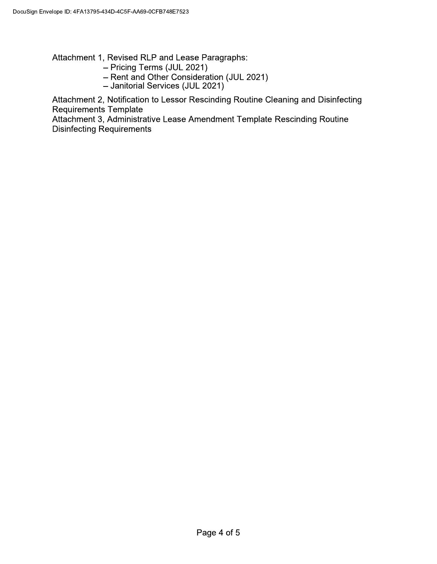Attachment 1, Revised RLP and Lease Paragraphs:

- Pricing Terms (JUL 2021)
- Rent and Other Consideration (JUL 2021)
- Janitorial Services (JUL 2021)

Attachment 2, Notification to Lessor Rescinding Routine Cleaning and Disinfecting **Requirements Template** 

Attachment 3, Administrative Lease Amendment Template Rescinding Routine **Disinfecting Requirements**